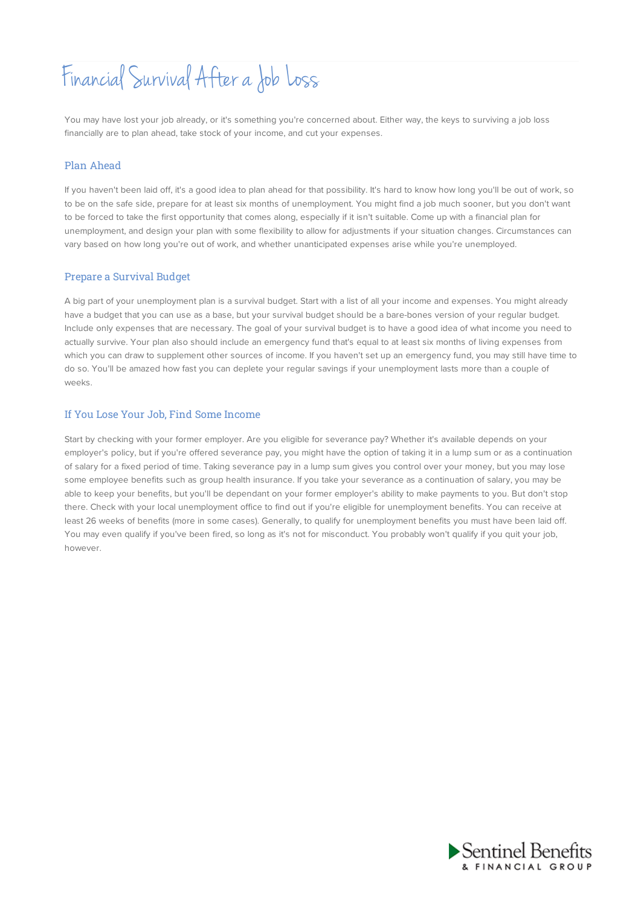# Financial Survival After a Job Loss

You may have lost your job already, or it's something you're concerned about. Either way, the keys to surviving a job loss financially are to plan ahead, take stock of your income, and cut your expenses.

#### Plan Ahead

If you haven't been laid off, it's a good idea to plan ahead for that possibility. It's hard to know how long you'll be out of work, so to be on the safe side, prepare for at least six months of unemployment. You might find a job much sooner, but you don't want to be forced to take the first opportunity that comes along, especially if it isn't suitable. Come up with a financial plan for unemployment, and design your plan with some flexibility to allow for adjustments if your situation changes. Circumstances can vary based on how long you're out of work, and whether unanticipated expenses arise while you're unemployed.

#### Prepare a Survival Budget

A big part of your unemployment plan is a survival budget. Start with a list of all your income and expenses. You might already have a budget that you can use as a base, but your survival budget should be a bare-bones version of your regular budget. Include only expenses that are necessary. The goal of your survival budget is to have a good idea of what income you need to actually survive. Your plan also should include an emergency fund that's equal to at least six months of living expenses from which you can draw to supplement other sources of income. If you haven't set up an emergency fund, you may still have time to do so. You'll be amazed how fast you can deplete your regular savings if your unemployment lasts more than a couple of weeks.

#### If You Lose Your Job, Find Some Income

Start by checking with your former employer. Are you eligible for severance pay? Whether it's available depends on your employer's policy, but if you're offered severance pay, you might have the option of taking it in a lump sum or as a continuation of salary for a fixed period of time. Taking severance pay in a lump sum gives you control over your money, but you may lose some employee benefits such as group health insurance. If you take your severance as a continuation of salary, you may be able to keep your benefits, but you'll be dependant on your former employer's ability to make payments to you. But don't stop there. Check with your local unemployment office to find out if you're eligible for unemployment benefits. You can receive at least 26 weeks of benefits (more in some cases). Generally, to qualify for unemployment benefits you must have been laid off. You may even qualify if you've been fired, so long as it's not for misconduct. You probably won't qualify if you quit your job, however.

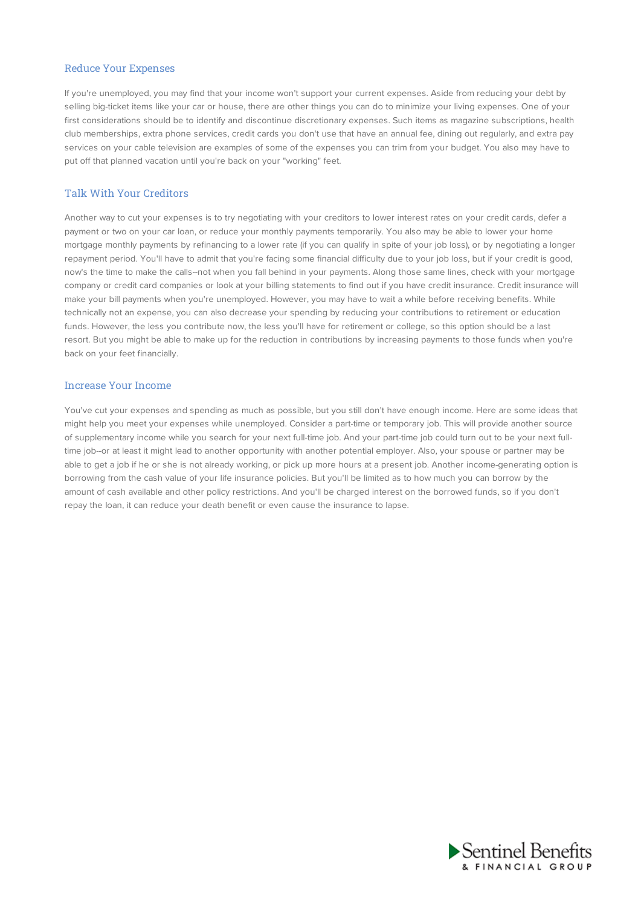#### Reduce Your Expenses

If you're unemployed, you may find that your income won't support your current expenses. Aside from reducing your debt by selling big-ticket items like your car or house, there are other things you can do to minimize your living expenses. One of your first considerations should be to identify and discontinue discretionary expenses. Such items as magazine subscriptions, health club memberships, extra phone services, credit cards you don't use that have an annual fee, dining out regularly, and extra pay services on your cable television are examples of some of the expenses you can trim from your budget. You also may have to put off that planned vacation until you're back on your "working" feet.

#### Talk With Your Creditors

Another way to cut your expenses is to try negotiating with your creditors to lower interest rates on your credit cards, defer a payment or two on your car loan, or reduce your monthly payments temporarily. You also may be able to lower your home mortgage monthly payments by refinancing to a lower rate (if you can qualify in spite of your job loss), or by negotiating a longer repayment period. You'll have to admit that you're facing some financial difficulty due to your job loss, but if your credit is good, now's the time to make the calls--not when you fall behind in your payments. Along those same lines, check with your mortgage company or credit card companies or look at your billing statements to find out if you have credit insurance. Credit insurance will make your bill payments when you're unemployed. However, you may have to wait a while before receiving benefits. While technically not an expense, you can also decrease your spending by reducing your contributions to retirement or education funds. However, the less you contribute now, the less you'll have for retirement or college, so this option should be a last resort. But you might be able to make up for the reduction in contributions by increasing payments to those funds when you're back on your feet financially.

#### Increase Your Income

You've cut your expenses and spending as much as possible, but you still don't have enough income. Here are some ideas that might help you meet your expenses while unemployed. Consider a part-time or temporary job. This will provide another source of supplementary income while you search for your next full-time job. And your part-time job could turn out to be your next fulltime job--or at least it might lead to another opportunity with another potential employer. Also, your spouse or partner may be able to get a job if he or she is not already working, or pick up more hours at a present job. Another income-generating option is borrowing from the cash value of your life insurance policies. But you'll be limited as to how much you can borrow by the amount of cash available and other policy restrictions. And you'll be charged interest on the borrowed funds, so if you don't repay the loan, it can reduce your death benefit or even cause the insurance to lapse.